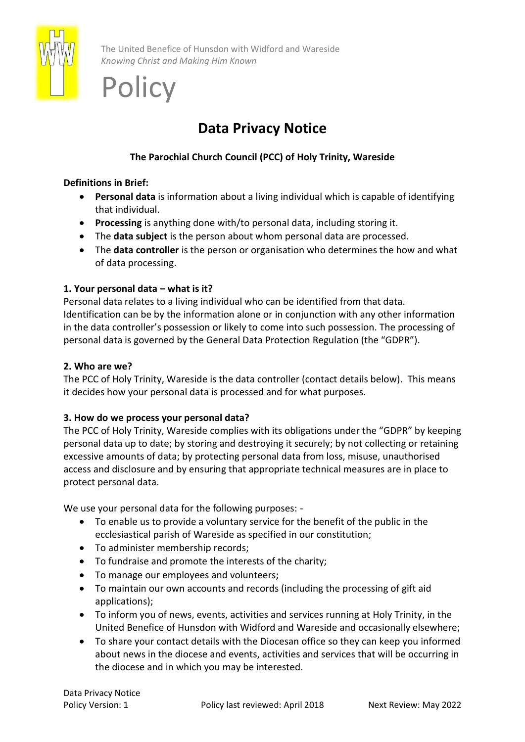

The United Benefice of Hunsdon with Widford and Wareside *Knowing Christ and Making Him Known*

# **Policy**

# **Data Privacy Notice**

# **The Parochial Church Council (PCC) of Holy Trinity, Wareside**

## **Definitions in Brief:**

- **Personal data** is information about a living individual which is capable of identifying that individual.
- **Processing** is anything done with/to personal data, including storing it.
- The **data subject** is the person about whom personal data are processed.
- The **data controller** is the person or organisation who determines the how and what of data processing.

## **1. Your personal data – what is it?**

Personal data relates to a living individual who can be identified from that data. Identification can be by the information alone or in conjunction with any other information in the data controller's possession or likely to come into such possession. The processing of personal data is governed by the General Data Protection Regulation (the "GDPR").

### **2. Who are we?**

The PCC of Holy Trinity, Wareside is the data controller (contact details below). This means it decides how your personal data is processed and for what purposes.

### **3. How do we process your personal data?**

The PCC of Holy Trinity, Wareside complies with its obligations under the "GDPR" by keeping personal data up to date; by storing and destroying it securely; by not collecting or retaining excessive amounts of data; by protecting personal data from loss, misuse, unauthorised access and disclosure and by ensuring that appropriate technical measures are in place to protect personal data.

We use your personal data for the following purposes: -

- To enable us to provide a voluntary service for the benefit of the public in the ecclesiastical parish of Wareside as specified in our constitution;
- To administer membership records;
- To fundraise and promote the interests of the charity;
- To manage our employees and volunteers;
- To maintain our own accounts and records (including the processing of gift aid applications);
- To inform you of news, events, activities and services running at Holy Trinity, in the United Benefice of Hunsdon with Widford and Wareside and occasionally elsewhere;
- To share your contact details with the Diocesan office so they can keep you informed about news in the diocese and events, activities and services that will be occurring in the diocese and in which you may be interested.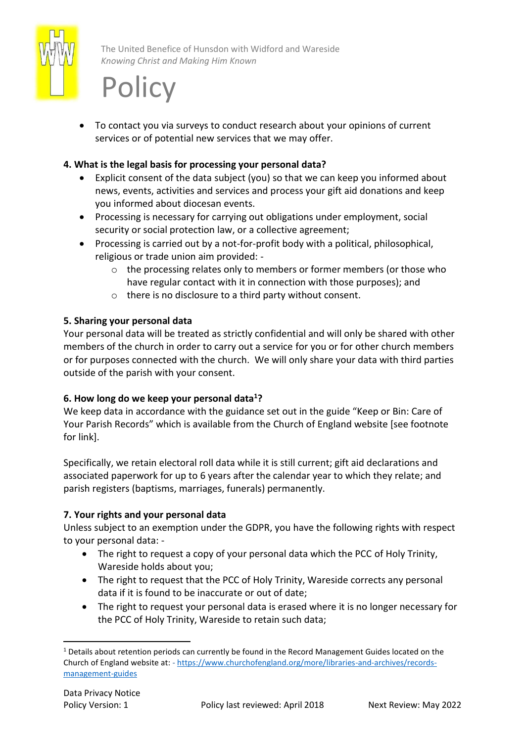

The United Benefice of Hunsdon with Widford and Wareside *Knowing Christ and Making Him Known*

# **Policy**

• To contact you via surveys to conduct research about your opinions of current services or of potential new services that we may offer.

# **4. What is the legal basis for processing your personal data?**

- Explicit consent of the data subject (you) so that we can keep you informed about news, events, activities and services and process your gift aid donations and keep you informed about diocesan events.
- Processing is necessary for carrying out obligations under employment, social security or social protection law, or a collective agreement;
- Processing is carried out by a not-for-profit body with a political, philosophical, religious or trade union aim provided: -
	- $\circ$  the processing relates only to members or former members (or those who have regular contact with it in connection with those purposes); and
	- o there is no disclosure to a third party without consent.

### **5. Sharing your personal data**

Your personal data will be treated as strictly confidential and will only be shared with other members of the church in order to carry out a service for you or for other church members or for purposes connected with the church. We will only share your data with third parties outside of the parish with your consent.

### **6. How long do we keep your personal data<sup>1</sup>?**

We keep data in accordance with the guidance set out in the guide "Keep or Bin: Care of Your Parish Records" which is available from the Church of England website [see footnote for link].

Specifically, we retain electoral roll data while it is still current; gift aid declarations and associated paperwork for up to 6 years after the calendar year to which they relate; and parish registers (baptisms, marriages, funerals) permanently.

### **7. Your rights and your personal data**

Unless subject to an exemption under the GDPR, you have the following rights with respect to your personal data: -

- The right to request a copy of your personal data which the PCC of Holy Trinity, Wareside holds about you;
- The right to request that the PCC of Holy Trinity, Wareside corrects any personal data if it is found to be inaccurate or out of date;
- The right to request your personal data is erased where it is no longer necessary for the PCC of Holy Trinity, Wareside to retain such data;

 $1$  Details about retention periods can currently be found in the Record Management Guides located on the Church of England website at: - [https://www.churchofengland.org/more/libraries-and-archives/records](https://www.churchofengland.org/more/libraries-and-archives/records-management-guides)[management-guides](https://www.churchofengland.org/more/libraries-and-archives/records-management-guides)